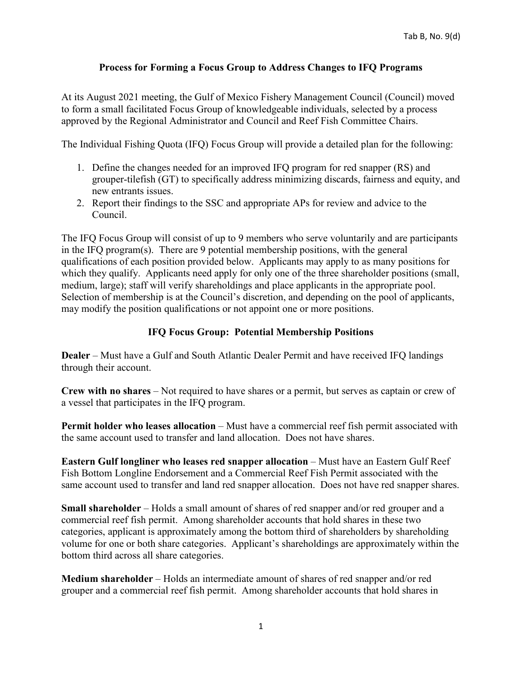## **Process for Forming a Focus Group to Address Changes to IFQ Programs**

At its August 2021 meeting, the Gulf of Mexico Fishery Management Council (Council) moved to form a small facilitated Focus Group of knowledgeable individuals, selected by a process approved by the Regional Administrator and Council and Reef Fish Committee Chairs.

The Individual Fishing Quota (IFQ) Focus Group will provide a detailed plan for the following:

- 1. Define the changes needed for an improved IFQ program for red snapper (RS) and grouper-tilefish (GT) to specifically address minimizing discards, fairness and equity, and new entrants issues.
- 2. Report their findings to the SSC and appropriate APs for review and advice to the Council.

The IFQ Focus Group will consist of up to 9 members who serve voluntarily and are participants in the IFQ program(s). There are 9 potential membership positions, with the general qualifications of each position provided below. Applicants may apply to as many positions for which they qualify. Applicants need apply for only one of the three shareholder positions (small, medium, large); staff will verify shareholdings and place applicants in the appropriate pool. Selection of membership is at the Council's discretion, and depending on the pool of applicants, may modify the position qualifications or not appoint one or more positions.

## **IFQ Focus Group: Potential Membership Positions**

**Dealer** – Must have a Gulf and South Atlantic Dealer Permit and have received IFQ landings through their account.

**Crew with no shares** – Not required to have shares or a permit, but serves as captain or crew of a vessel that participates in the IFQ program.

**Permit holder who leases allocation** – Must have a commercial reef fish permit associated with the same account used to transfer and land allocation. Does not have shares.

**Eastern Gulf longliner who leases red snapper allocation – Must have an Eastern Gulf Reef** Fish Bottom Longline Endorsement and a Commercial Reef Fish Permit associated with the same account used to transfer and land red snapper allocation. Does not have red snapper shares.

**Small shareholder** – Holds a small amount of shares of red snapper and/or red grouper and a commercial reef fish permit. Among shareholder accounts that hold shares in these two categories, applicant is approximately among the bottom third of shareholders by shareholding volume for one or both share categories. Applicant's shareholdings are approximately within the bottom third across all share categories.

**Medium shareholder** – Holds an intermediate amount of shares of red snapper and/or red grouper and a commercial reef fish permit. Among shareholder accounts that hold shares in